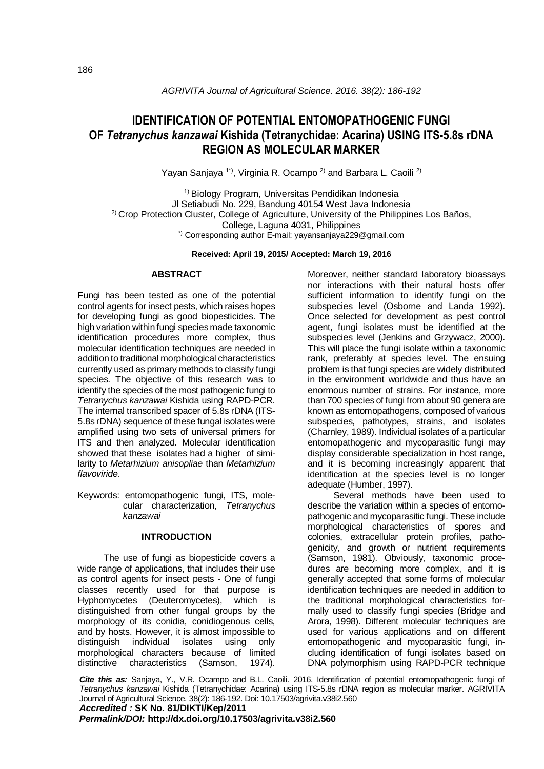# **IDENTIFICATION OF POTENTIAL ENTOMOPATHOGENIC FUNGI OF** *Tetranychus kanzawai* **Kishida (Tetranychidae: Acarina) USING ITS-5.8s rDNA REGION AS MOLECULAR MARKER**

Yayan Sanjaya<sup>1\*)</sup>, Virginia R. Ocampo<sup>2)</sup> and Barbara L. Caoili<sup>2)</sup>

<sup>1)</sup> Biology Program, Universitas Pendidikan Indonesia Jl Setiabudi No. 229, Bandung 40154 West Java Indonesia <sup>2)</sup> Crop Protection Cluster, College of Agriculture, University of the Philippines Los Baños, College, Laguna 4031, Philippines \*) Corresponding author E-mail: [yayansanjaya229@gmail.com](mailto:yayansanjaya229@gmail.com)

### **Received: April 19, 2015/ Accepted: March 19, 2016**

### **ABSTRACT**

Fungi has been tested as one of the potential control agents for insect pests, which raises hopes for developing fungi as good biopesticides. The high variation within fungi species made taxonomic identification procedures more complex, thus molecular identification techniques are needed in addition to traditional morphological characteristics currently used as primary methods to classify fungi species. The objective of this research was to identify the species of the most pathogenic fungi to *Tetranychus kanzawai* Kishida using RAPD-PCR. The internal transcribed spacer of 5.8s rDNA (ITS-5.8s rDNA) sequence of these fungal isolates were amplified using two sets of universal primers for ITS and then analyzed. Molecular identification showed that these isolates had a higher of similarity to *Metarhizium anisopliae* than *Metarhizium flavoviride*.

Keywords: entomopathogenic fungi, ITS, molecular characterization, *Tetranychus kanzawai*

# **INTRODUCTION**

The use of fungi as biopesticide covers a wide range of applications, that includes their use as control agents for insect pests - One of fungi classes recently used for that purpose is Hyphomycetes (Deuteromycetes), which is distinguished from other fungal groups by the morphology of its conidia, conidiogenous cells, and by hosts. However, it is almost impossible to distinguish individual isolates using only morphological characters because of limited distinctive characteristics (Samson, 1974).

Moreover, neither standard laboratory bioassays nor interactions with their natural hosts offer sufficient information to identify fungi on the subspecies level (Osborne and Landa 1992). Once selected for development as pest control agent, fungi isolates must be identified at the subspecies level (Jenkins and Grzywacz, 2000). This will place the fungi isolate within a taxonomic rank, preferably at species level. The ensuing problem is that fungi species are widely distributed in the environment worldwide and thus have an enormous number of strains. For instance, more than 700 species of fungi from about 90 genera are known as entomopathogens, composed of various subspecies, pathotypes, strains, and isolates (Charnley, 1989). Individual isolates of a particular entomopathogenic and mycoparasitic fungi may display considerable specialization in host range, and it is becoming increasingly apparent that identification at the species level is no longer adequate (Humber, 1997).

Several methods have been used to describe the variation within a species of entomopathogenic and mycoparasitic fungi. These include morphological characteristics of spores and colonies, extracellular protein profiles, pathogenicity, and growth or nutrient requirements (Samson, 1981). Obviously, taxonomic procedures are becoming more complex, and it is generally accepted that some forms of molecular identification techniques are needed in addition to the traditional morphological characteristics formally used to classify fungi species (Bridge and Arora, 1998). Different molecular techniques are used for various applications and on different entomopathogenic and mycoparasitic fungi, including identification of fungi isolates based on DNA polymorphism using RAPD-PCR technique

*Cite this as:* Sanjaya, Y., V.R. Ocampo and B.L. Caoili. 2016. Identification of potential entomopathogenic fungi of *Tetranychus kanzawai* Kishida (Tetranychidae: Acarina) using ITS-5.8s rDNA region as molecular marker. AGRIVITA Journal of Agricultural Science. 38(2): 186-192. Doi: 10.17503/agrivita.v38i2.560

*Accredited :* **SK No. 81/DIKTI/Kep/2011**

*Permalink/DOI:* **http://dx.doi.org/10.17503/agrivita.v38i2.560**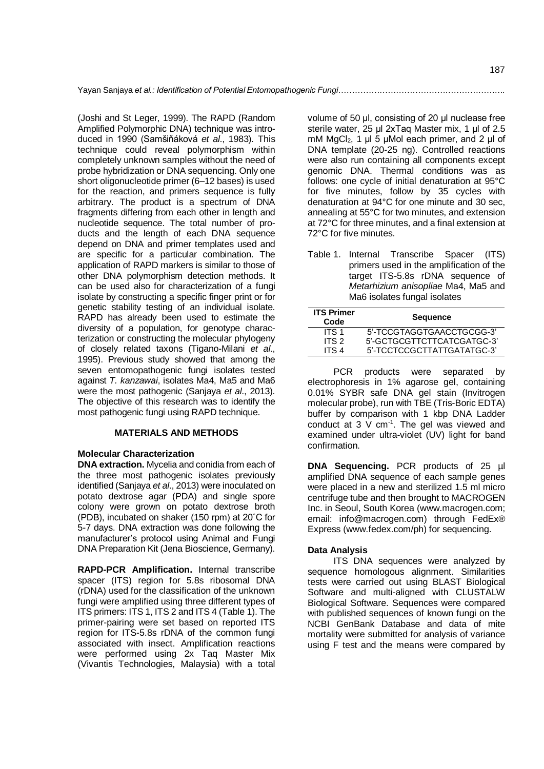(Joshi and St Leger, 1999). The RAPD (Random Amplified Polymorphic DNA) technique was introduced in 1990 (Samšiňáková *et al*., 1983). This technique could reveal polymorphism within completely unknown samples without the need of probe hybridization or DNA sequencing. Only one short oligonucleotide primer (6–12 bases) is used for the reaction, and primers sequence is fully arbitrary. The product is a spectrum of DNA fragments differing from each other in length and nucleotide sequence. The total number of products and the length of each DNA sequence depend on DNA and primer templates used and are specific for a particular combination. The application of RAPD markers is similar to those of other DNA polymorphism detection methods. It can be used also for characterization of a fungi isolate by constructing a specific finger print or for genetic stability testing of an individual isolate. RAPD has already been used to estimate the diversity of a population, for genotype characterization or constructing the molecular phylogeny of closely related taxons (Tigano-Milani *et al*., 1995). Previous study showed that among the seven entomopathogenic fungi isolates tested against *T. kanzawai*, isolates Ma4, Ma5 and Ma6 were the most pathogenic (Sanjaya *et al*., 2013). The objective of this research was to identify the most pathogenic fungi using RAPD technique.

### **MATERIALS AND METHODS**

### **Molecular Characterization**

**DNA extraction.** Mycelia and conidia from each of the three most pathogenic isolates previously identified (Sanjaya *et al*., 2013) were inoculated on potato dextrose agar (PDA) and single spore colony were grown on potato dextrose broth (PDB), incubated on shaker (150 rpm) at 20˚C for 5-7 days. DNA extraction was done following the manufacturer's protocol using Animal and Fungi DNA Preparation Kit (Jena Bioscience, Germany).

**RAPD-PCR Amplification.** Internal transcribe spacer (ITS) region for 5.8s ribosomal DNA (rDNA) used for the classification of the unknown fungi were amplified using three different types of ITS primers: ITS 1, ITS 2 and ITS 4 (Table 1). The primer-pairing were set based on reported ITS region for ITS-5.8s rDNA of the common fungi associated with insect. Amplification reactions were performed using 2x Taq Master Mix (Vivantis Technologies, Malaysia) with a total

volume of 50 μl, consisting of 20 μl nuclease free sterile water, 25 μl 2xTaq Master mix, 1 μl of 2.5 mM MgCl2, 1 μl 5 μMol each primer, and 2 μl of DNA template (20-25 ng). Controlled reactions were also run containing all components except genomic DNA. Thermal conditions was as follows: one cycle of initial denaturation at 95°C for five minutes, follow by 35 cycles with denaturation at 94°C for one minute and 30 sec, annealing at 55°C for two minutes, and extension at 72°C for three minutes, and a final extension at 72°C for five minutes.

Table 1. Internal Transcribe Spacer (ITS) primers used in the amplification of the target ITS-5.8s rDNA sequence of *Metarhizium anisopliae* Ma4, Ma5 and Ma6 isolates fungal isolates

| <b>ITS Primer</b><br>Code | <b>Sequence</b>            |  |
|---------------------------|----------------------------|--|
| ITS 1                     | 5'-TCCGTAGGTGAACCTGCGG-3'  |  |
| ITS 2                     | 5'-GCTGCGTTCTTCATCGATGC-3' |  |
| ITS 4                     | 5'-TCCTCCGCTTATTGATATGC-3' |  |

PCR products were separated by electrophoresis in 1% agarose gel, containing 0.01% SYBR safe DNA gel stain (Invitrogen molecular probe), run with TBE (Tris-Boric EDTA) buffer by comparison with 1 kbp DNA Ladder conduct at  $3 \vee cm^{-1}$ . The gel was viewed and examined under ultra-violet (UV) light for band confirmation.

**DNA Sequencing.** PCR products of 25 µl amplified DNA sequence of each sample genes were placed in a new and sterilized 1.5 ml micro centrifuge tube and then brought to MACROGEN Inc. in Seoul, South Korea [\(www.macrogen.com;](http://www.macrogen.com/) email: [info@macrogen.com\)](mailto:info@macrogen.com) through FedEx® Express [\(www.fedex.com/ph\)](http://www.fedex.com/ph) for sequencing.

### **Data Analysis**

ITS DNA sequences were analyzed by sequence homologous alignment. Similarities tests were carried out using BLAST Biological Software and multi-aligned with CLUSTALW Biological Software. Sequences were compared with published sequences of known fungi on the NCBI GenBank Database and data of mite mortality were submitted for analysis of variance using F test and the means were compared by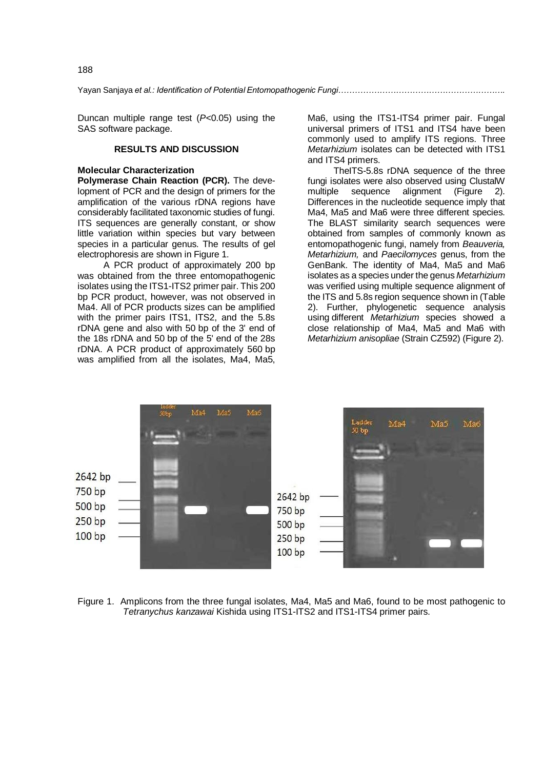Yayan Sanjaya *et al.: Identification of Potential Entomopathogenic Fungi…………………………………………………….*

Duncan multiple range test (*P<*0.05) using the SAS software package.

# **RESULTS AND DISCUSSION**

### **Molecular Characterization**

**Polymerase Chain Reaction (PCR).** The development of PCR and the design of primers for the amplification of the various rDNA regions have considerably facilitated taxonomic studies of fungi. ITS sequences are generally constant, or show little variation within species but vary between species in a particular genus. The results of gel electrophoresis are shown in Figure 1.

A PCR product of approximately 200 bp was obtained from the three entomopathogenic isolates using the ITS1-ITS2 primer pair. This 200 bp PCR product, however, was not observed in Ma4. All of PCR products sizes can be amplified with the primer pairs ITS1, ITS2, and the 5.8s rDNA gene and also with 50 bp of the 3' end of the 18s rDNA and 50 bp of the 5' end of the 28s rDNA. A PCR product of approximately 560 bp was amplified from all the isolates, Ma4, Ma5,

Ma6, using the ITS1-ITS4 primer pair. Fungal universal primers of ITS1 and ITS4 have been commonly used to amplify ITS regions. Three *Metarhizium* isolates can be detected with ITS1 and ITS4 primers.

TheITS-5.8s rDNA sequence of the three fungi isolates were also observed using ClustalW multiple sequence alignment (Figure 2). Differences in the nucleotide sequence imply that Ma4, Ma5 and Ma6 were three different species. The BLAST similarity search sequences were obtained from samples of commonly known as entomopathogenic fungi, namely from *Beauveria, Metarhizium,* and *Paecilomyces* genus, from the GenBank. The identity of Ma4, Ma5 and Ma6 isolates as a species under the genus *Metarhizium*  was verified using multiple sequence alignment of the ITS and 5.8s region sequence shown in (Table 2). Further, phylogenetic sequence analysis using different *Metarhizium* species showed a close relationship of Ma4, Ma5 and Ma6 with *Metarhizium anisopliae* (Strain CZ592) (Figure 2).



Figure 1. Amplicons from the three fungal isolates, Ma4, Ma5 and Ma6, found to be most pathogenic to *Tetranychus kanzawai* Kishida using ITS1-ITS2 and ITS1-ITS4 primer pairs.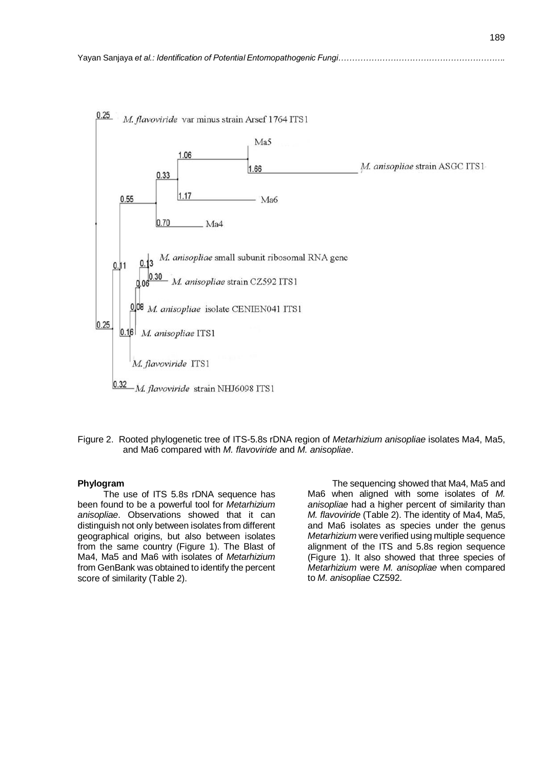

Figure 2. Rooted phylogenetic tree of ITS-5.8s rDNA region of *Metarhizium anisopliae* isolates Ma4, Ma5, and Ma6 compared with *M. flavoviride* and *M. anisopliae*.

### **Phylogram**

The use of ITS 5.8s rDNA sequence has been found to be a powerful tool for *Metarhizium anisopliae*. Observations showed that it can distinguish not only between isolates from different geographical origins, but also between isolates from the same country (Figure 1). The Blast of Ma4, Ma5 and Ma6 with isolates of *Metarhizium*  from GenBank was obtained to identify the percent score of similarity (Table 2).

 The sequencing showed that Ma4, Ma5 and Ma6 when aligned with some isolates of *M. anisopliae* had a higher percent of similarity than *M. flavoviride* (Table 2). The identity of Ma4, Ma5, and Ma6 isolates as species under the genus *Metarhizium* were verified using multiple sequence alignment of the ITS and 5.8s region sequence (Figure 1). It also showed that three species of *Metarhizium* were *M. anisopliae* when compared to *M. anisopliae* CZ592.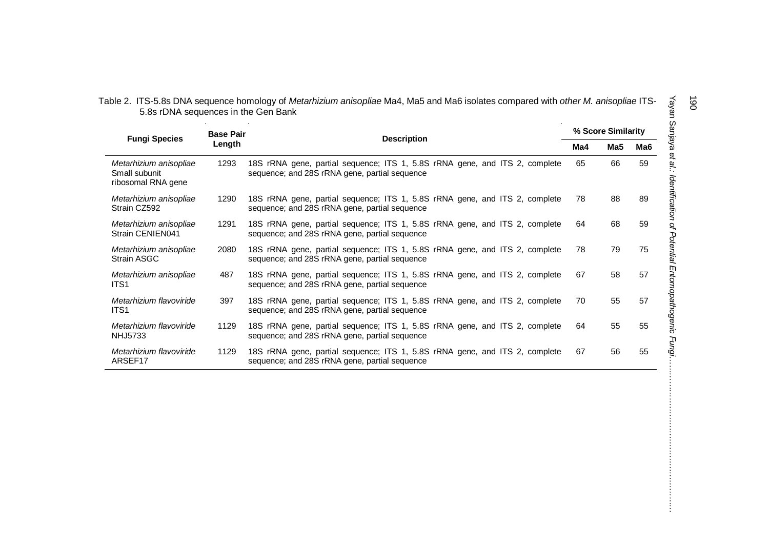| Table 2. ITS-5.8s DNA sequence homology of Metarhizium anisopliae Ma4, Ma5 and Ma6 isolates compared with other M. anisopliae ITS- |  |
|------------------------------------------------------------------------------------------------------------------------------------|--|
| 5.8s rDNA sequences in the Gen Bank                                                                                                |  |

|                                                               | <b>Base Pair</b> |                                                                                                                              | % Score Similarity |     |     |
|---------------------------------------------------------------|------------------|------------------------------------------------------------------------------------------------------------------------------|--------------------|-----|-----|
| <b>Fungi Species</b>                                          | Length           | <b>Description</b>                                                                                                           | Ma4                | Ma5 | Ma6 |
| Metarhizium anisopliae<br>Small subunit<br>ribosomal RNA gene | 1293             | 18S rRNA gene, partial sequence; ITS 1, 5.8S rRNA gene, and ITS 2, complete<br>sequence; and 28S rRNA gene, partial sequence | 65                 | 66  | 59  |
| Metarhizium anisopliae<br>Strain CZ592                        | 1290             | 18S rRNA gene, partial sequence; ITS 1, 5.8S rRNA gene, and ITS 2, complete<br>sequence; and 28S rRNA gene, partial sequence | 78                 | 88  | 89  |
| Metarhizium anisopliae<br>Strain CENIEN041                    | 1291             | 18S rRNA gene, partial sequence; ITS 1, 5.8S rRNA gene, and ITS 2, complete<br>sequence; and 28S rRNA gene, partial sequence | 64                 | 68  | 59  |
| Metarhizium anisopliae<br>Strain ASGC                         | 2080             | 18S rRNA gene, partial sequence; ITS 1, 5.8S rRNA gene, and ITS 2, complete<br>sequence; and 28S rRNA gene, partial sequence | 78                 | 79  | 75  |
| Metarhizium anisopliae<br>ITS <sub>1</sub>                    | 487              | 18S rRNA gene, partial sequence; ITS 1, 5.8S rRNA gene, and ITS 2, complete<br>sequence; and 28S rRNA gene, partial sequence | 67                 | 58  | 57  |
| Metarhizium flavoviride<br>ITS <sub>1</sub>                   | 397              | 18S rRNA gene, partial sequence; ITS 1, 5.8S rRNA gene, and ITS 2, complete<br>sequence; and 28S rRNA gene, partial sequence | 70                 | 55  | 57  |
| Metarhizium flavoviride<br><b>NHJ5733</b>                     | 1129             | 18S rRNA gene, partial sequence; ITS 1, 5.8S rRNA gene, and ITS 2, complete<br>sequence; and 28S rRNA gene, partial sequence | 64                 | 55  | 55  |
| Metarhizium flavoviride<br>ARSEF17                            | 1129             | 18S rRNA gene, partial sequence; ITS 1, 5.8S rRNA gene, and ITS 2, complete<br>sequence; and 28S rRNA gene, partial sequence | 67                 | 56  | 55  |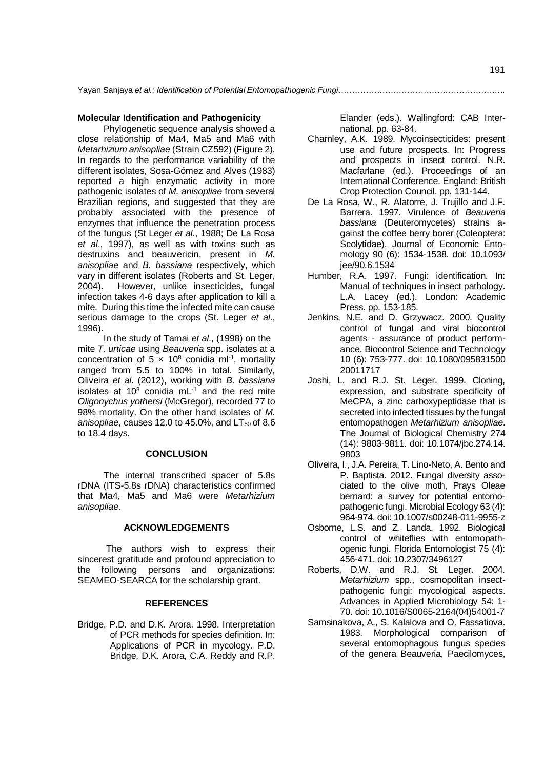### **Molecular Identification and Pathogenicity**

Phylogenetic sequence analysis showed a close relationship of Ma4, Ma5 and Ma6 with *Metarhizium anisopliae* (Strain CZ592) (Figure 2). In regards to the performance variability of the different isolates, Sosa-Gómez and Alves (1983) reported a high enzymatic activity in more pathogenic isolates of *M. anisopliae* from several Brazilian regions, and suggested that they are probably associated with the presence of enzymes that influence the penetration process of the fungus (St Leger *et al*., 1988; De La Rosa *et al*., 1997), as well as with toxins such as destruxins and beauvericin, present in *M. anisopliae* and *B. bassiana* respectively, which vary in different isolates (Roberts and St. Leger, 2004). However, unlike insecticides, fungal infection takes 4-6 days after application to kill a mite. During this time the infected mite can cause serious damage to the crops (St. Leger *et al*., 1996).

In the study of Tamai *et al*., (1998) on the mite *T. urticae* using *Beauveria* spp. isolates at a concentration of  $5 \times 10^8$  conidia ml<sup>-1</sup>, mortality ranged from 5.5 to 100% in total. Similarly, Oliveira *et al*. (2012), working with *B. bassiana*  isolates at  $10^8$  conidia mL<sup>-1</sup> and the red mite *Oligonychus yothersi* (McGregor), recorded 77 to 98% mortality. On the other hand isolates of *M. anisopliae*, causes 12.0 to 45.0%, and  $LT_{50}$  of 8.6 to 18.4 days.

## **CONCLUSION**

The internal transcribed spacer of 5.8s rDNA (ITS-5.8s rDNA) characteristics confirmed that Ma4, Ma5 and Ma6 were *Metarhizium anisopliae*.

### **ACKNOWLEDGEMENTS**

The authors wish to express their sincerest gratitude and profound appreciation to the following persons and organizations: SEAMEO-SEARCA for the scholarship grant.

### **REFERENCES**

Bridge, P.D. and D.K. Arora. 1998. Interpretation of PCR methods for species definition. In: Applications of PCR in mycology. P.D. Bridge, D.K. Arora, C.A. Reddy and R.P.

Elander (eds.). Wallingford: CAB International. pp. 63-84.

- Charnley, A.K. 1989. Mycoinsecticides: present use and future prospects. In: Progress and prospects in insect control. N.R. Macfarlane (ed.). Proceedings of an International Conference. England: British Crop Protection Council. pp. 131-144.
- De La Rosa, W., R. Alatorre, J. Trujillo and J.F. Barrera. 1997. Virulence of *Beauveria bassiana* (Deuteromycetes) strains against the coffee berry borer (Coleoptera: Scolytidae). Journal of Economic Entomology 90 (6): 1534-1538. doi: [10.1093/](http://dx.doi.org/10.1093) jee/90.6.1534
- Humber, R.A. 1997. Fungi: identification. In: Manual of techniques in insect pathology. L.A. Lacey (ed.). London: Academic Press. pp. 153-185.
- Jenkins, N.E. and D. Grzywacz. 2000. Quality control of fungal and viral biocontrol agents - assurance of product performance. Biocontrol Science and Technology 10 (6): 753-777. doi: 10.1080/095831500 20011717
- Joshi, L. and R.J. St. Leger. 1999. Cloning, expression, and substrate specificity of MeCPA, a zinc carboxypeptidase that is secreted into infected tissues by the fungal entomopathogen *Metarhizium anisopliae*. The Journal of Biological Chemistry 274 (14): 9803-9811. doi: 10.1074/jbc.274.14. 9803
- Oliveira, I., J.A. Pereira, T. Lino-Neto, A. Bento and P. Baptista. 2012. Fungal diversity associated to the olive moth, Prays Oleae bernard: a survey for potential entomopathogenic fungi. Microbial Ecology 63 (4): 964-974. doi: 10.1007/s00248-011-9955-z
- Osborne, L.S. and Z. Landa. 1992. Biological control of whiteflies with entomopathogenic fungi. Florida Entomologist 75 (4): 456-471. doi: 10.2307/3496127
- Roberts, D.W. and R.J. St. Leger. 2004. *Metarhizium* spp., cosmopolitan insectpathogenic fungi: mycological aspects. Advances in Applied Microbiology 54: 1- 70. doi: 10.1016/S0065-2164(04)54001-7
- Samsinakova, A., S. Kalalova and O. Fassatiova. 1983. Morphological comparison of several entomophagous fungus species of the genera Beauveria, Paecilomyces,